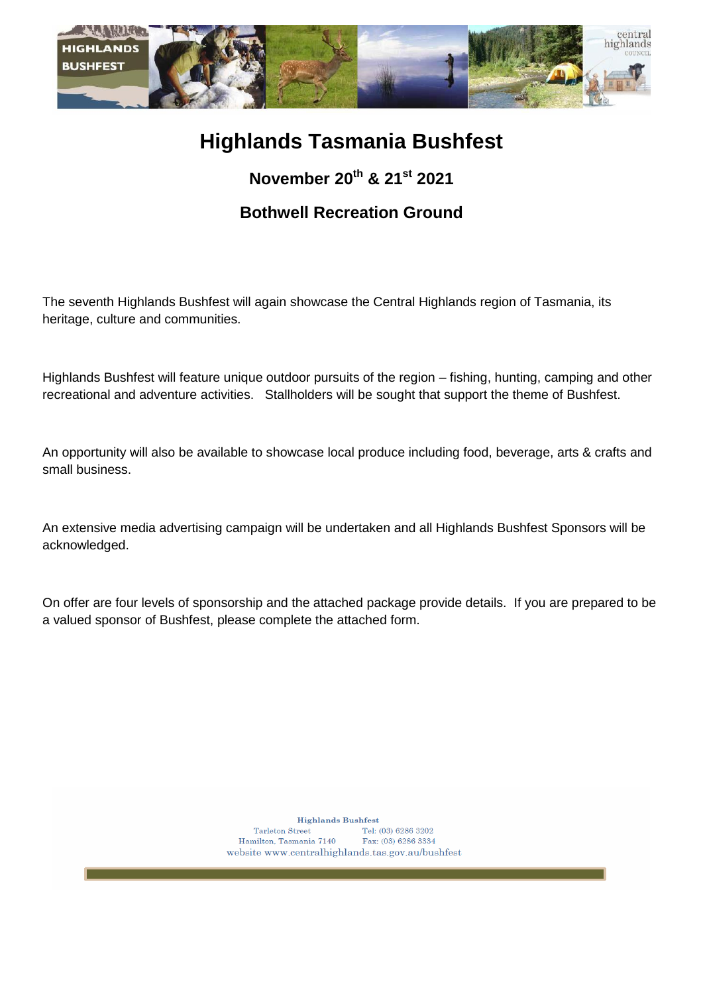

# **Highlands Tasmania Bushfest**

**November 20 th & 21 st 2021**

# **Bothwell Recreation Ground**

The seventh Highlands Bushfest will again showcase the Central Highlands region of Tasmania, its heritage, culture and communities.

Highlands Bushfest will feature unique outdoor pursuits of the region – fishing, hunting, camping and other recreational and adventure activities. Stallholders will be sought that support the theme of Bushfest.

An opportunity will also be available to showcase local produce including food, beverage, arts & crafts and small business.

An extensive media advertising campaign will be undertaken and all Highlands Bushfest Sponsors will be acknowledged.

On offer are four levels of sponsorship and the attached package provide details. If you are prepared to be a valued sponsor of Bushfest, please complete the attached form.

> **Highlands Bushfest** Tarleton Street Tel: (03) 6286 3202 Hamilton, Tasmania 7140 Fax: (03) 6286 3334 website www.centralhighlands.tas.gov.au/bushfest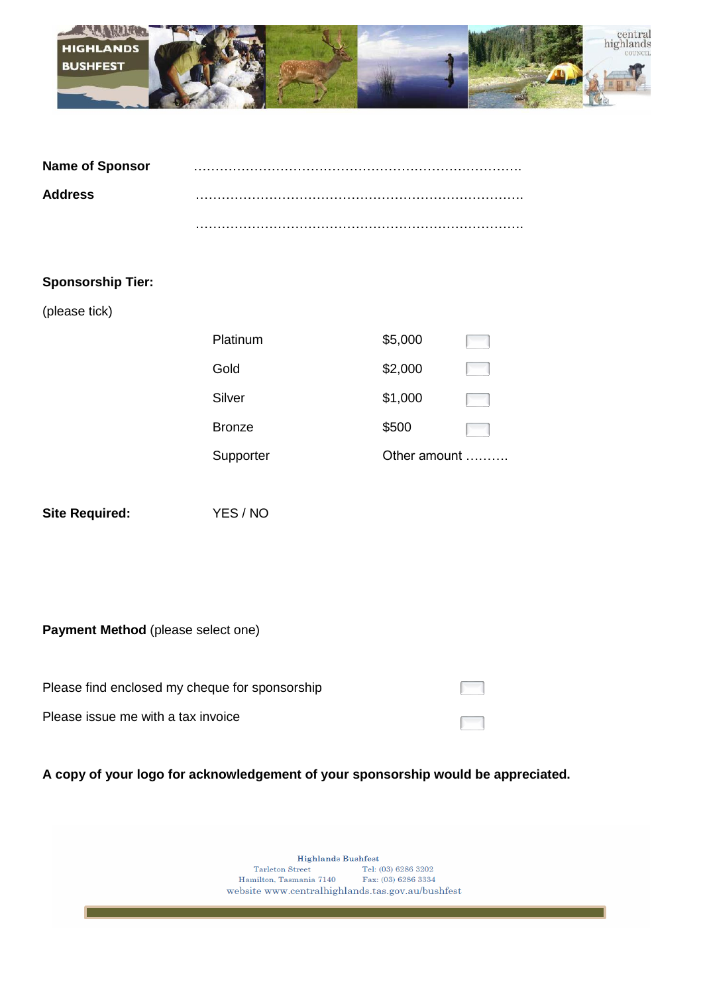

| <b>Name of Sponsor</b> |  |
|------------------------|--|
| <b>Address</b>         |  |
|                        |  |

#### **Sponsorship Tier:**

(please tick)

| Platinum      | \$5,000      |  |
|---------------|--------------|--|
| Gold          | \$2,000      |  |
| Silver        | \$1,000      |  |
| <b>Bronze</b> | \$500        |  |
| Supporter     | Other amount |  |

**Site Required:** YES / NO

**Payment Method** (please select one)

| Please find enclosed my cheque for sponsorship |  |
|------------------------------------------------|--|
| Please issue me with a tax invoice             |  |

**A copy of your logo for acknowledgement of your sponsorship would be appreciated.**

Highlands Bushfest Tarleton Street<br>
Tel: (03) 6286 3202<br>
Hamilton, Tasmania 7140<br>
Fax: (03) 6286 3334 website www.centralhighlands.tas.gov.au/bushfest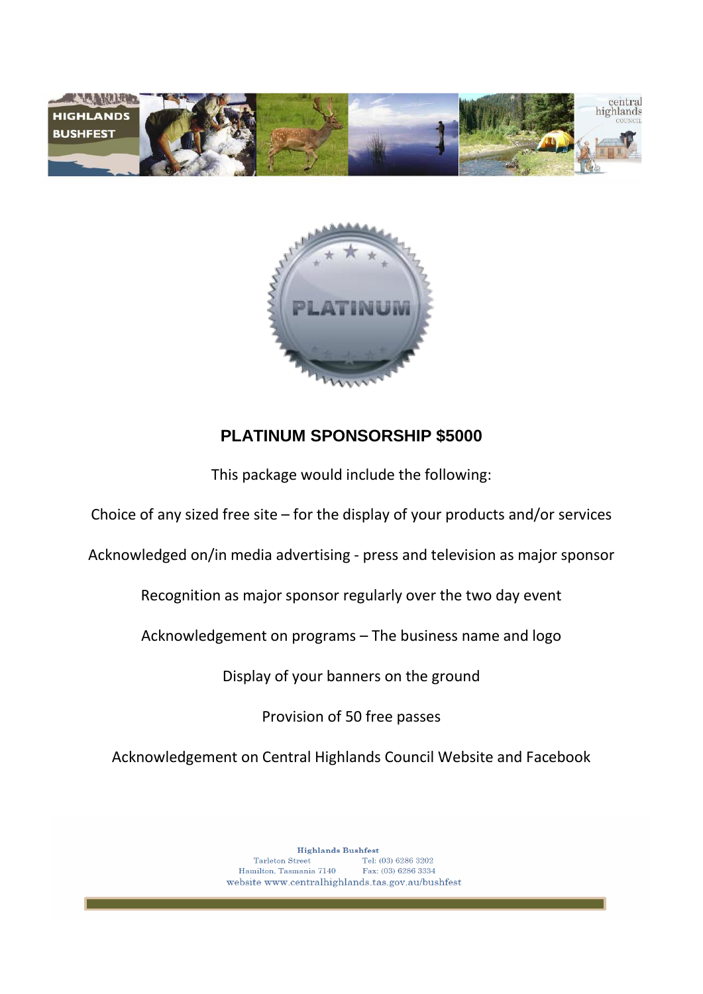



## **PLATINUM SPONSORSHIP \$5000**

This package would include the following:

Choice of any sized free site – for the display of your products and/or services

Acknowledged on/in media advertising - press and television as major sponsor

Recognition as major sponsor regularly over the two day event

Acknowledgement on programs – The business name and logo

Display of your banners on the ground

Provision of 50 free passes

Acknowledgement on Central Highlands Council Website and Facebook

**Highlands Bushfest** Tel: (03) 6286 3202 Tarleton Street Hamilton, Tasmania 7140 Fax: (03) 6286 3334 website www.centralhighlands.tas.gov.au/bushfest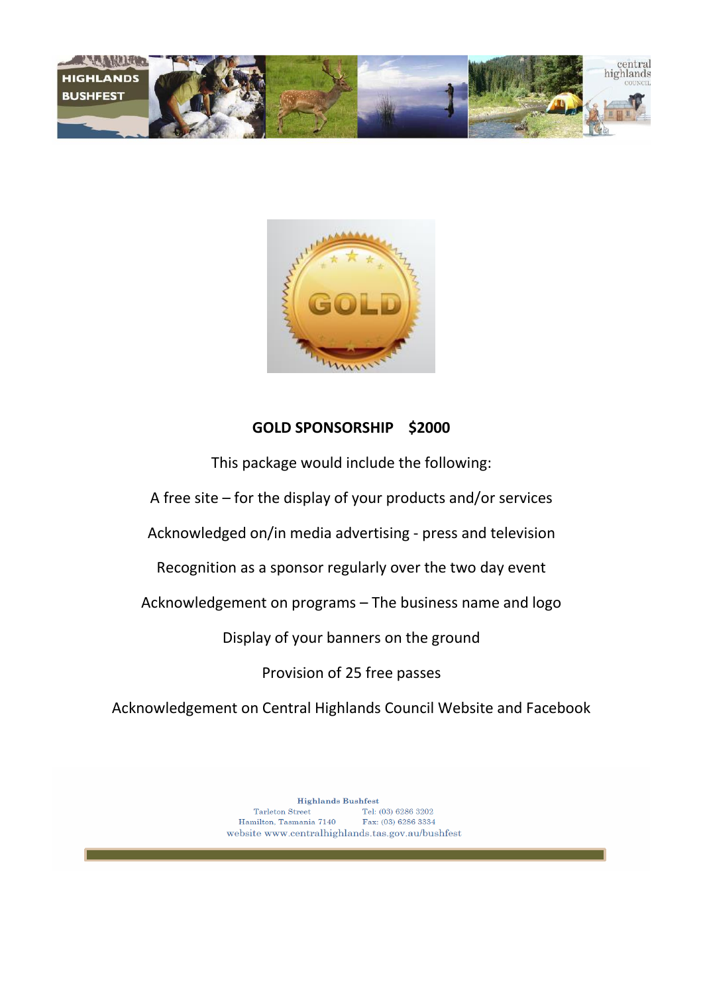



#### **GOLD SPONSORSHIP \$2000**

This package would include the following: A free site – for the display of your products and/or services Acknowledged on/in media advertising - press and television Recognition as a sponsor regularly over the two day event Acknowledgement on programs – The business name and logo Display of your banners on the ground Provision of 25 free passes

Acknowledgement on Central Highlands Council Website and Facebook

**Highlands Bushfest**  ${\bf T}arleton\;{\bf Street}$ Tel:  $(03)$  6286 3202 Hamilton, Tasmania 7140 Fax: (03) 6286 3334 website www.centralhighlands.tas.gov.au/bushfest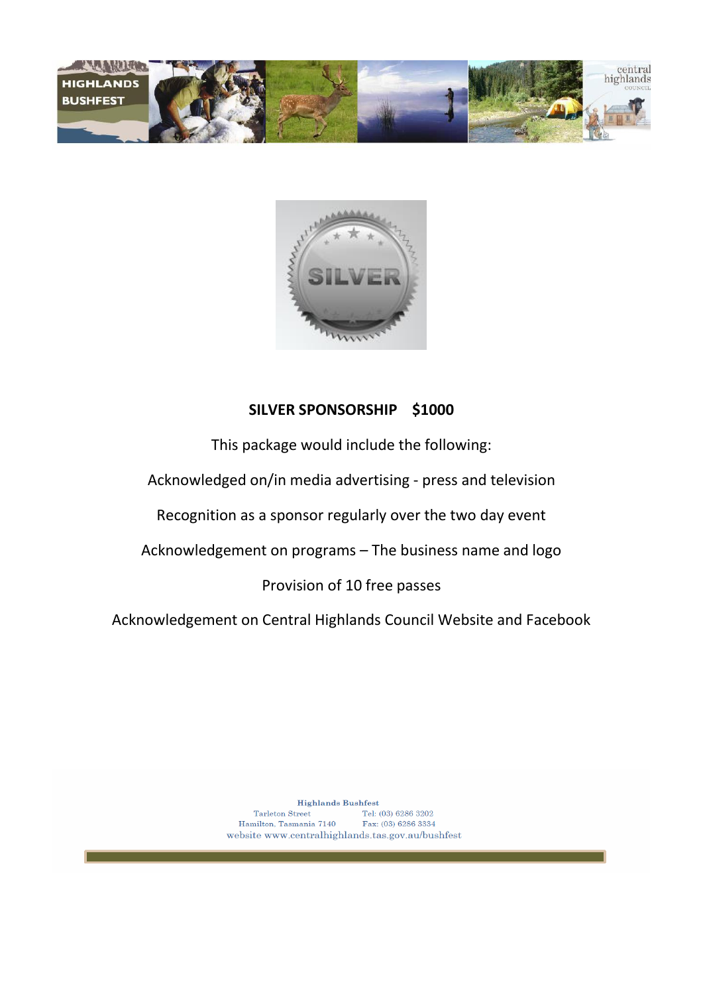



#### **SILVER SPONSORSHIP \$1000**

This package would include the following:

Acknowledged on/in media advertising - press and television

Recognition as a sponsor regularly over the two day event

Acknowledgement on programs – The business name and logo

Provision of 10 free passes

Acknowledgement on Central Highlands Council Website and Facebook

**Highlands Bushfest** Tel: (03) 6286 3202 Tarleton Street Hamilton, Tasmania 7140 Fax: (03) 6286 3334 website www.centralhighlands.tas.gov.au/bushfest